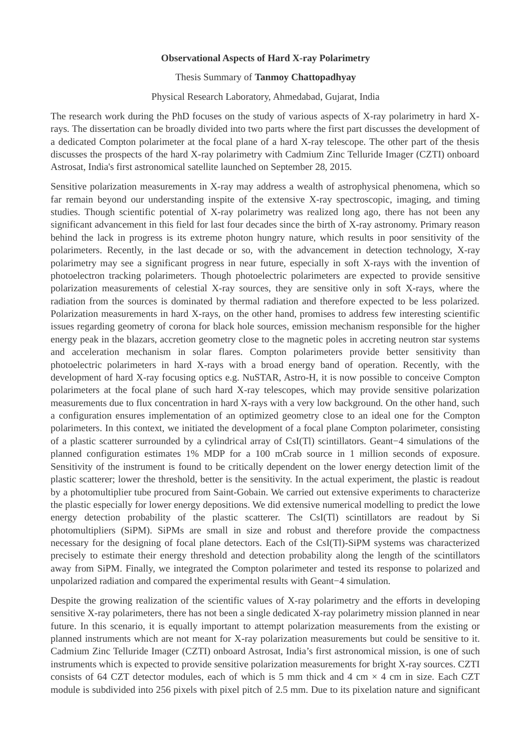## **Observational Aspects of Hard X-ray Polarimetry**

## Thesis Summary of **Tanmoy Chattopadhyay**

## Physical Research Laboratory, Ahmedabad, Gujarat, India

The research work during the PhD focuses on the study of various aspects of X-ray polarimetry in hard Xrays.
 The dissertation can be broadly divided into two parts where the first part discusses the development of a dedicated Compton polarimeter at the focal plane of a hard X-ray telescope.
 The other part of the thesis discusses the prospects of the hard X-ray polarimetry with Cadmium Zinc Telluride Imager (CZTI)
 onboard Astrosat, India's first astronomical satellite launched on September 28, 2015.

Sensitive polarization measurements in X-ray may address a wealth of astrophysical phenomena, which so far remain beyond our understanding inspite of the extensive X-ray spectroscopic, imaging, and timing studies.
 Though scientific potential of X-ray polarimetry was realized long ago, there has not been any significant advancement in this field for last four decades since the birth of X-ray astronomy.
 Primary reason behind the lack in progress is its extreme photon hungry nature, which results in poor sensitivity of the polarimeters.
 Recently, in the last decade or so, with the advancement in detection technology, X-ray polarimetry may see a significant progress in near future, especially in soft X-rays with the invention of photoelectron tracking polarimeters.
 Though photoelectric polarimeters are expected to provide sensitive polarization measurements of celestial X-ray sources, they are sensitive only in soft X-rays, where the radiation from the sources is dominated by thermal radiation and therefore expected to be less polarized. Polarization measurements in hard X-rays, on the other hand, promises to address few interesting scientific issues regarding geometry of corona for black hole sources, emission mechanism responsible for the higher energy peak in the blazars, accretion geometry close to the magnetic poles in accreting neutron star systems and acceleration mechanism in solar flares.
 Compton polarimeters provide better sensitivity than photoelectric polarimeters in hard X-rays with a broad energy band of operation.
 Recently, with the development of hard X-ray focusing optics e.
g.
 NuSTAR, Astro-H, it is now possible to conceive Compton polarimeters at the focal plane of such hard X-ray telescopes, which may provide sensitive polarization measurements due to flux concentration in hard X-rays with a very low background.
 On the other hand, such a configuration ensures implementation of an optimized geometry close to an ideal one for the Compton polarimeters.
 In this context, we initiated the development of a focal plane Compton polarimeter, consisting of a plastic scatterer surrounded by a cylindrical array of CsI(Tl) scintillators. Geant−4 simulations of the planned configuration estimates 1% MDP for a 100 mCrab source in 1 million seconds of exposure. Sensitivity of the instrument is found to be critically dependent on the lower energy detection limit of the plastic scatterer; lower the threshold, better is the sensitivity.
 In the actual experiment, the plastic is readout by a photomultiplier tube procured from Saint-Gobain.
 We carried out extensive experiments to characterize the plastic especially for lower energy depositions.
 We did extensive numerical modelling to predict the lowe energy detection probability of the plastic scatterer. The CsI(Tl) scintillators are readout by Si photomultipliers (SiPM)
.
 SiPMs are small in size and robust and therefore provide the compactness necessary for the designing of focal plane detectors.
 Each of the CsI(Tl)
-SiPM systems was characterized precisely to estimate their energy threshold and detection probability along the length of the scintillators away from SiPM.
 Finally, we integrated the Compton polarimeter and tested its response to polarized and unpolarized radiation and compared the experimental results with Geant−4 simulation.

Despite the growing realization of the scientific values of X-ray polarimetry and the efforts in developing sensitive X-ray polarimeters, there has not been a single dedicated X-ray polarimetry mission planned in near future. In this scenario, it is equally important to attempt polarization measurements from the existing or planned instruments which are not meant for X-ray polarization measurements but could be sensitive to it. Cadmium Zinc Telluride Imager (CZTI)
 onboard Astrosat, India's first astronomical mission, is one of such instruments which is expected to provide sensitive polarization measurements for bright X-ray sources.
 CZTI consists of 64 CZT detector modules, each of which is 5 mm thick and 4 cm  $\times$  4 cm in size. Each CZT module is subdivided into 256 pixels with pixel pitch of 2.
5 mm.
 Due to its pixelation nature and significant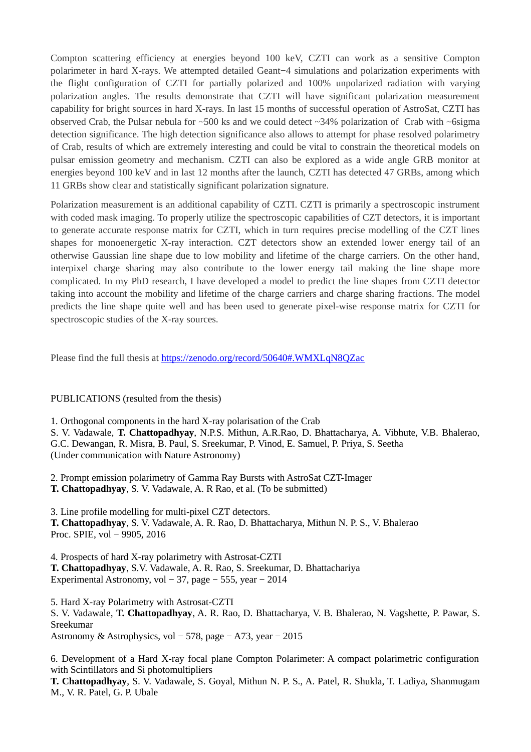Compton scattering efficiency at energies beyond 100 keV, CZTI can work as a sensitive Compton polarimeter in hard X-rays.
 We attempted detailed Geant−4 simulations and polarization experiments with the flight configuration of CZTI for partially polarized and 100% unpolarized radiation with varying polarization angles.
 The results demonstrate that CZTI will have significant polarization measurement capability for bright sources in hard X-rays.
 In last 15 months of successful operation of AstroSat, CZTI has observed Crab, the Pulsar nebula for  $\sim$  500 ks and we could detect  $\sim$  34% polarization of Crab with  $\sim$  6 sigma detection significance.
 The high detection significance also allows to attempt for phase resolved polarimetry of Crab, results of which are extremely interesting and could be vital to constrain the theoretical models on pulsar emission geometry and mechanism.
 CZTI can also be explored as a wide angle GRB monitor at energies beyond 100 keV and in last 12 months after the launch, CZTI has detected 47 GRBs, among which 11 GRBs show clear and statistically significant polarization signature.

Polarization measurement is an additional capability of CZTI. CZTI is primarily a spectroscopic instrument with coded mask imaging.
 To properly utilize the spectroscopic capabilities of CZT detectors, it is important to generate accurate response matrix for CZTI, which in turn requires precise modelling of the CZT lines shapes for monoenergetic X-ray interaction.
 CZT detectors show an extended lower energy tail of an otherwise Gaussian line shape due to low mobility and lifetime of the charge carriers.
 On the other hand, interpixel charge sharing may also contribute to the lower energy tail making the line shape more complicated.
 In my PhD research, I have developed a model to predict the line shapes from CZTI detector taking into account the mobility and lifetime of the charge carriers and charge sharing fractions.
 The model predicts the line shape quite well and has been used to generate pixel-wise response matrix for CZTI for spectroscopic studies of the X-ray sources.

Please find the full thesis at https://zenodo.
org/record/50640#.
WMXLqN8QZac

## PUBLICATIONS (resulted from the thesis)

- 1.
 Orthogonal components in the hard X-ray polarisation of the Crab
- S. V. Vadawale, T. Chattopadhyay, N.P.S. Mithun, A.R.Rao, D. Bhattacharya, A. Vibhute, V.B. Bhalerao, G.C. Dewangan, R. Misra, B. Paul, S. Sreekumar, P. Vinod, E. Samuel, P. Priya, S. Seetha

(Under communication with Nature Astronomy)

2.
 Prompt emission polarimetry of Gamma Ray Bursts with AstroSat CZT-Imager **T. Chattopadhyay**, S.
 V.
 Vadawale, A.
 R Rao, et al.
 (To be submitted)

3.
 Line profile modelling for multi-pixel CZT detectors. T. Chattopadhyay, S. V. Vadawale, A. R. Rao, D. Bhattacharya, Mithun N. P. S., V. Bhalerao Proc.
 SPIE, vol − 9905, 2016

4.
 Prospects of hard X-ray polarimetry with Astrosat-CZTI **T. Chattopadhyay**, S.
V.
 Vadawale, A.
 R.
 Rao, S.
 Sreekumar, D.
 Bhattachariya Experimental Astronomy, vol − 37, page − 555, year − 2014

5.
 Hard X-ray Polarimetry with Astrosat-CZTI

S. V. Vadawale, T. Chattopadhyay, A. R. Rao, D. Bhattacharya, V. B. Bhalerao, N. Vagshette, P. Pawar, S. Sreekumar Astronomy & Astrophysics, vol − 578, page − A73, year − 2015

6.
 Development of a Hard X-ray focal plane Compton Polarimeter: A compact polarimetric configuration with Scintillators and Si photomultipliers

**T. Chattopadhyay**, S. V. Vadawale, S. Goyal, Mithun N. P. S., A. Patel, R. Shukla, T. Ladiya, Shanmugam M.
, V.
 R.
 Patel, G.
 P.
 Ubale